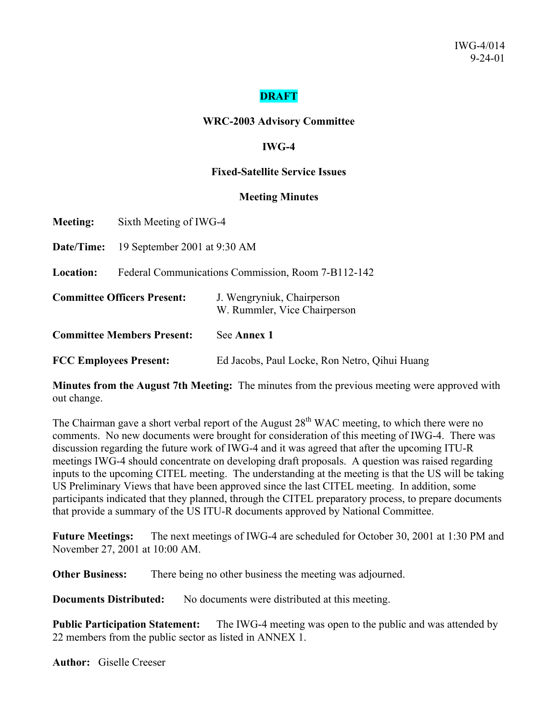## **DRAFT**

#### **WRC-2003 Advisory Committee**

### **IWG-4**

#### **Fixed-Satellite Service Issues**

#### **Meeting Minutes**

**Meeting:** Sixth Meeting of IWG-4

**Date/Time:** 19 September 2001 at 9:30 AM

**Location:** Federal Communications Commission, Room 7-B112-142

| <b>Committee Officers Present:</b> | J. Wengryniuk, Chairperson<br>W. Rummler, Vice Chairperson |  |  |
|------------------------------------|------------------------------------------------------------|--|--|
| <b>Committee Members Present:</b>  | See Annex 1                                                |  |  |
| <b>FCC Employees Present:</b>      | Ed Jacobs, Paul Locke, Ron Netro, Qihui Huang              |  |  |

**Minutes from the August 7th Meeting:** The minutes from the previous meeting were approved with out change.

The Chairman gave a short verbal report of the August 28<sup>th</sup> WAC meeting, to which there were no comments. No new documents were brought for consideration of this meeting of IWG-4. There was discussion regarding the future work of IWG-4 and it was agreed that after the upcoming ITU-R meetings IWG-4 should concentrate on developing draft proposals. A question was raised regarding inputs to the upcoming CITEL meeting. The understanding at the meeting is that the US will be taking US Preliminary Views that have been approved since the last CITEL meeting. In addition, some participants indicated that they planned, through the CITEL preparatory process, to prepare documents that provide a summary of the US ITU-R documents approved by National Committee.

**Future Meetings:** The next meetings of IWG-4 are scheduled for October 30, 2001 at 1:30 PM and November 27, 2001 at 10:00 AM.

**Other Business:** There being no other business the meeting was adjourned.

**Documents Distributed:** No documents were distributed at this meeting.

**Public Participation Statement:** The IWG-4 meeting was open to the public and was attended by 22 members from the public sector as listed in ANNEX 1.

**Author:** Giselle Creeser